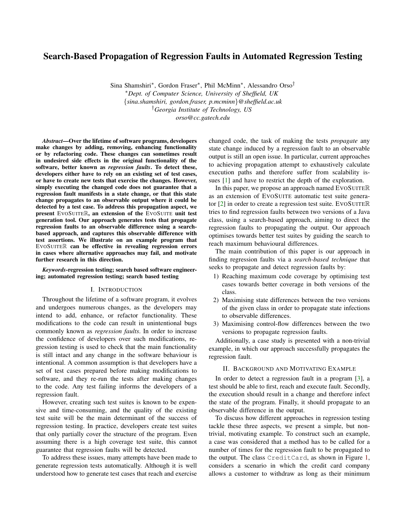# Search-Based Propagation of Regression Faults in Automated Regression Testing

Sina Shamshiri*∗* , Gordon Fraser*∗* , Phil McMinn*∗* , Alessandro Orso*† ∗Dept. of Computer Science, University of Sheffield, UK {sina.shamshiri, gordon.fraser, p.mcminn}@sheffield.ac.uk †Georgia Institute of Technology, US orso@cc.gatech.edu*

*Abstract*—Over the lifetime of software programs, developers make changes by adding, removing, enhancing functionality or by refactoring code. These changes can sometimes result in undesired side effects in the original functionality of the software, better known as *regression faults*. To detect these, developers either have to rely on an existing set of test cases, or have to create new tests that exercise the changes. However, simply executing the changed code does not guarantee that a regression fault manifests in a state change, or that this state change propagates to an observable output where it could be detected by a test case. To address this propagation aspect, we present EVOSUITER, an extension of the EVOSUITE unit test generation tool. Our approach generates tests that propagate regression faults to an observable difference using a searchbased approach, and captures this observable difference with test assertions. We illustrate on an example program that EVOSUITER can be effective in revealing regression errors in cases where alternative approaches may fail, and motivate further research in this direction.

*Keywords*-regression testing; search based software engineering; automated regression testing; search based testing

#### I. INTRODUCTION

Throughout the lifetime of a software program, it evolves and undergoes numerous changes, as the developers may intend to add, enhance, or refactor functionality. These modifications to the code can result in unintentional bugs commonly known as *regression faults*. In order to increase the confidence of developers over such modifications, regression testing is used to check that the main functionality is still intact and any change in the software behaviour is intentional. A common assumption is that developers have a set of test cases prepared before making modifications to software, and they re-run the tests after making changes to the code. Any test failing informs the developers of a regression fault.

However, creating such test suites is known to be expensive and time-consuming, and the quality of the existing test suite will be the main determinant of the success of regression testing. In practice, developers create test suites that only partially cover the structure of the program. Even assuming there is a high coverage test suite, this cannot guarantee that regression faults will be detected.

To address these issues, many attempts have been made to generate regression tests automatically. Although it is well understood how to generate test cases that reach and exercise changed code, the task of making the tests *propagate* any state change induced by a regression fault to an observable output is still an open issue. In particular, current approaches to achieving propagation attempt to exhaustively calculate execution paths and therefore suffer from scalability issues [1] and have to restrict the depth of the exploration.

In this paper, we propose an approach named EVOSUITER as an extension of EVOSUITE automatic test suite generator [2] in order to create a regression test suite. EVOSUITER tries to find regression faults between two versions of a Java class, using a search-based approach, aiming to direct the regression faults to propagating the output. Our approach optimises towards better test suites by guiding the search to reach maximum behavioural differences.

The main contribution of this paper is our approach in finding regression faults via a *search-based technique* that seeks to propagate and detect regression faults by:

- 1) Reaching maximum code coverage by optimising test cases towards better coverage in both versions of the class.
- 2) Maximising state differences between the two versions of the given class in order to propagate state infections to observable differences.
- 3) Maximising control-flow differences between the two versions to propagate regression faults.

Additionally, a case study is presented with a non-trivial example, in which our approach successfully propagates the regression fault.

### II. BACKGROUND AND MOTIVATING EXAMPLE

In order to detect a regression fault in a program [3], a test should be able to first, reach and execute fault. Secondly, the execution should result in a change and therefore infect the state of the program. Finally, it should propagate to an observable difference in the output.

To discuss how different approaches in regression testing tackle these three aspects, we present a simple, but nontrivial, motivating example. To construct such an example, a case was considered that a method has to be called for a number of times for the regression fault to be propagated to the output. The class CreditCard, as shown in Figure 1, considers a scenario in which the credit card company allows a customer to withdraw as long as their minimum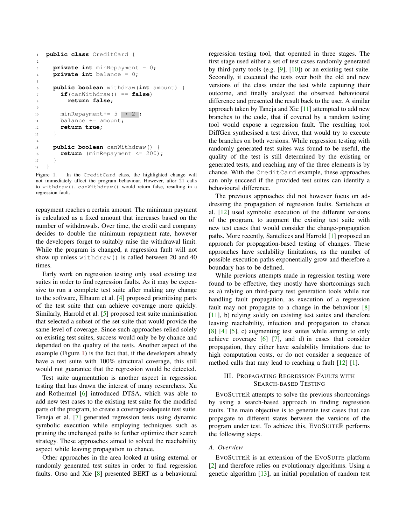```
1 public class CreditCard {
2
3 private int minRepayment = 0;
4 private int balance = 0;
5
6 public boolean withdraw(int amount) {
7 if(canWithdraw() == false)
8 return false;
9
10 minRepayment += 5 \times 2;
11 balance += amount;
12 return true;
13 }
14
15 public boolean canWithdraw() {
16 return (minRepayment <= 200);
17 }
18 }
```
Figure 1. In the CreditCard class, the highlighted change will not immediately affect the program behaviour. However, after 21 calls to withdraw(), canWithdraw() would return false, resulting in a regression fault.

repayment reaches a certain amount. The minimum payment is calculated as a fixed amount that increases based on the number of withdrawals. Over time, the credit card company decides to double the minimum repayment rate, however the developers forget to suitably raise the withdrawal limit. While the program is changed, a regression fault will not show up unless withdraw() is called between 20 and 40 times.

Early work on regression testing only used existing test suites in order to find regression faults. As it may be expensive to run a complete test suite after making any change to the software, Elbaum et al. [4] proposed prioritising parts of the test suite that can achieve coverage more quickly. Similarly, Harrold et al. [5] proposed test suite minimisation that selected a subset of the set suite that would provide the same level of coverage. Since such approaches relied solely on existing test suites, success would only be by chance and depended on the quality of the tests. Another aspect of the example (Figure 1) is the fact that, if the developers already have a test suite with 100% structural coverage, this still would not guarantee that the regression would be detected.

Test suite augmentation is another aspect in regression testing that has drawn the interest of many researchers. Xu and Rothermel [6] introduced DTSA, which was able to add new test cases to the existing test suite for the modified parts of the program, to create a coverage-adequete test suite. Teneja et al. [7] generated regression tests using dynamic symbolic execution while employing techniques such as pruning the unchanged paths to further optimize their search strategy. These approaches aimed to solved the reachability aspect while leaving propagation to chance.

Other approaches in the area looked at using external or randomly generated test suites in order to find regression faults. Orso and Xie [8] presented BERT as a behavioural regression testing tool, that operated in three stages. The first stage used either a set of test cases randomly generated by third-party tools (e.g. [9], [10]) or an existing test suite. Secondly, it executed the tests over both the old and new versions of the class under the test while capturing their outcome, and finally analysed the observed behavioural difference and presented the result back to the user. A similar approach taken by Taneja and Xie [11] attempted to add new branches to the code, that if covered by a random testing tool would expose a regression fault. The resulting tool DiffGen synthesised a test driver, that would try to execute the branches on both versions. While regression testing with randomly generated test suites was found to be useful, the quality of the test is still determined by the existing or generated tests, and reaching any of the three elements is by chance. With the CreditCard example, these approaches can only succeed if the provided test suites can identify a behavioural difference.

The previous approaches did not however focus on addressing the propagation of regression faults. Santelices et al. [12] used symbolic execution of the different versions of the program, to augment the existing test suite with new test cases that would consider the change-propagation paths. More recently, Santelices and Harrold [1] proposed an approach for propagation-based testing of changes. These approaches have scalability limitations, as the number of possible execution paths exponentially grow and therefore a boundary has to be defined.

While previous attempts made in regression testing were found to be effective, they mostly have shortcomings such as a) relying on third-party test generation tools while not handling fault propagation, as execution of a regression fault may not propagate to a change in the behaviour [8] [11], b) relying solely on existing test suites and therefore leaving reachability, infection and propagation to chance [8] [4] [5], c) augmenting test suites while aiming to only achieve coverage [6] [7], and d) in cases that consider propagation, they either have scalability limitations due to high computation costs, or do not consider a sequence of method calls that may lead to reaching a fault [12] [1].

## III. PROPAGATING REGRESSION FAULTS WITH SEARCH-BASED TESTING

EVOSUITER attempts to solve the previous shortcomings by using a search-based approach in finding regression faults. The main objective is to generate test cases that can propagate to different states between the versions of the program under test. To achieve this, EVOSUITER performs the following steps.

## *A. Overview*

EVOSUITER is an extension of the EVOSUITE platform [2] and therefore relies on evolutionary algorithms. Using a genetic algorithm [13], an initial population of random test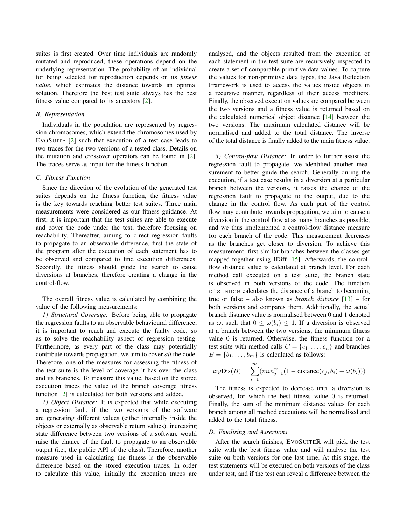suites is first created. Over time individuals are randomly mutated and reproduced; these operations depend on the underlying representation. The probability of an individual for being selected for reproduction depends on its *fitness value*, which estimates the distance towards an optimal solution. Therefore the best test suite always has the best fitness value compared to its ancestors [2].

#### *B. Representation*

Individuals in the population are represented by regression chromosomes, which extend the chromosomes used by EVOSUITE [2] such that execution of a test case leads to two traces for the two versions of a tested class. Details on the mutation and crossover operators can be found in [2]. The traces serve as input for the fitness function.

### *C. Fitness Function*

Since the direction of the evolution of the generated test suites depends on the fitness function, the fitness value is the key towards reaching better test suites. Three main measurements were considered as our fitness guidance. At first, it is important that the test suites are able to execute and cover the code under the test, therefore focusing on reachability. Thereafter, aiming to direct regression faults to propagate to an observable difference, first the state of the program after the execution of each statement has to be observed and compared to find execution differences. Secondly, the fitness should guide the search to cause diversions at branches, therefore creating a change in the control-flow.

The overall fitness value is calculated by combining the value of the following measurements:

*1) Structural Coverage:* Before being able to propagate the regression faults to an observable behavioural difference, it is important to reach and execute the faulty code, so as to solve the reachability aspect of regression testing. Furthermore, as every part of the class may potentially contribute towards propagation, we aim to cover *all* the code. Therefore, one of the measures for assessing the fitness of the test suite is the level of coverage it has over the class and its branches. To measure this value, based on the stored execution traces the value of the branch coverage fitness function [2] is calculated for both versions and added.

*2) Object Distance:* It is expected that while executing a regression fault, if the two versions of the software are generating different values (either internally inside the objects or externally as observable return values), increasing state difference between two versions of a software would raise the chance of the fault to propagate to an observable output (i.e., the public API of the class). Therefore, another measure used in calculating the fitness is the observable difference based on the stored execution traces. In order to calculate this value, initially the execution traces are analysed, and the objects resulted from the execution of each statement in the test suite are recursively inspected to create a set of comparable primitive data values. To capture the values for non-primitive data types, the Java Reflection Framework is used to access the values inside objects in a recursive manner, regardless of their access modifiers. Finally, the observed execution values are compared between the two versions and a fitness value is returned based on the calculated numerical object distance [14] between the two versions. The maximum calculated distance will be normalised and added to the total distance. The inverse of the total distance is finally added to the main fitness value.

*3) Control-flow Distance:* In order to further assist the regression fault to propagate, we identified another measurement to better guide the search. Generally during the execution, if a test case results in a diversion at a particular branch between the versions, it raises the chance of the regression fault to propagate to the output, due to the change in the control flow. As each part of the control flow may contribute towards propagation, we aim to cause a diversion in the control flow at as many branches as possible, and we thus implemented a control-flow distance measure for each branch of the code. This measurement decreases as the branches get closer to diversion. To achieve this measurement, first similar branches between the classes get mapped together using JDiff [15]. Afterwards, the controlflow distance value is calculated at branch level. For each method call executed on a test suite, the branch state is observed in both versions of the code. The function distance calculates the distance of a branch to becoming true or false – also known as *branch distance* [13] – for both versions and compares them. Additionally, the actual branch distance value is normalised between 0 and 1 denoted as  $\omega$ , such that  $0 \leq \omega(b_i) \leq 1$ . If a diversion is observed at a branch between the two versions, the minimum fitness value 0 is returned. Otherwise, the fitness function for a test suite with method calls  $C = \{c_1, \ldots, c_n\}$  and branches  $B = \{b_1, \ldots, b_m\}$  is calculated as follows:

$$
cfgDis(B) = \sum_{i=1}^{m} (min_{j=1}^{m} (1 - distance(c_j, b_i) + \omega(b_i)))
$$

The fitness is expected to decrease until a diversion is observed, for which the best fitness value 0 is returned. Finally, the sum of the minimum distance values for each branch among all method executions will be normalised and added to the total fitness.

#### *D. Finalising and Assertions*

After the search finishes, EVOSUITER will pick the test suite with the best fitness value and will analyse the test suite on both versions for one last time. At this stage, the test statements will be executed on both versions of the class under test, and if the test can reveal a difference between the